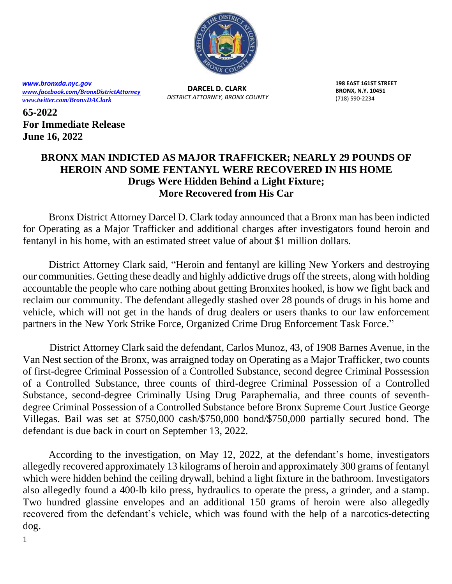

*[www.bronxda.nyc.gov](http://www.bronxda.nyc.gov/) [www.facebook.com/BronxDistrictAttorney](file://///bronxda.nycnet/shares/UNITS/PUBLIC-INFORMATION/Public-Information/2016/www.facebook.com/BronxDistrictAttorney) [www.twitter.com/BronxDAClark](file://///bronxda.nycnet/shares/UNITS/PUBLIC-INFORMATION/Public-Information/2016/www.twitter.com/BronxDAClark)*

**DARCEL D. CLARK** *DISTRICT ATTORNEY, BRONX COUNTY* **198 EAST 161ST STREET BRONX, N.Y. 10451** (718) 590-2234

**65-2022 For Immediate Release June 16, 2022**

## **BRONX MAN INDICTED AS MAJOR TRAFFICKER; NEARLY 29 POUNDS OF HEROIN AND SOME FENTANYL WERE RECOVERED IN HIS HOME Drugs Were Hidden Behind a Light Fixture; More Recovered from His Car**

 Bronx District Attorney Darcel D. Clark today announced that a Bronx man has been indicted for Operating as a Major Trafficker and additional charges after investigators found heroin and fentanyl in his home, with an estimated street value of about \$1 million dollars.

 District Attorney Clark said, "Heroin and fentanyl are killing New Yorkers and destroying our communities. Getting these deadly and highly addictive drugs off the streets, along with holding accountable the people who care nothing about getting Bronxites hooked, is how we fight back and reclaim our community. The defendant allegedly stashed over 28 pounds of drugs in his home and vehicle, which will not get in the hands of drug dealers or users thanks to our law enforcement partners in the New York Strike Force, Organized Crime Drug Enforcement Task Force."

District Attorney Clark said the defendant, Carlos Munoz, 43, of 1908 Barnes Avenue, in the Van Nest section of the Bronx, was arraigned today on Operating as a Major Trafficker, two counts of first-degree Criminal Possession of a Controlled Substance, second degree Criminal Possession of a Controlled Substance, three counts of third-degree Criminal Possession of a Controlled Substance, second-degree Criminally Using Drug Paraphernalia, and three counts of seventhdegree Criminal Possession of a Controlled Substance before Bronx Supreme Court Justice George Villegas. Bail was set at \$750,000 cash/\$750,000 bond/\$750,000 partially secured bond. The defendant is due back in court on September 13, 2022.

 According to the investigation, on May 12, 2022, at the defendant's home, investigators allegedly recovered approximately 13 kilograms of heroin and approximately 300 grams of fentanyl which were hidden behind the ceiling drywall, behind a light fixture in the bathroom. Investigators also allegedly found a 400-lb kilo press, hydraulics to operate the press, a grinder, and a stamp. Two hundred glassine envelopes and an additional 150 grams of heroin were also allegedly recovered from the defendant's vehicle, which was found with the help of a narcotics-detecting dog.